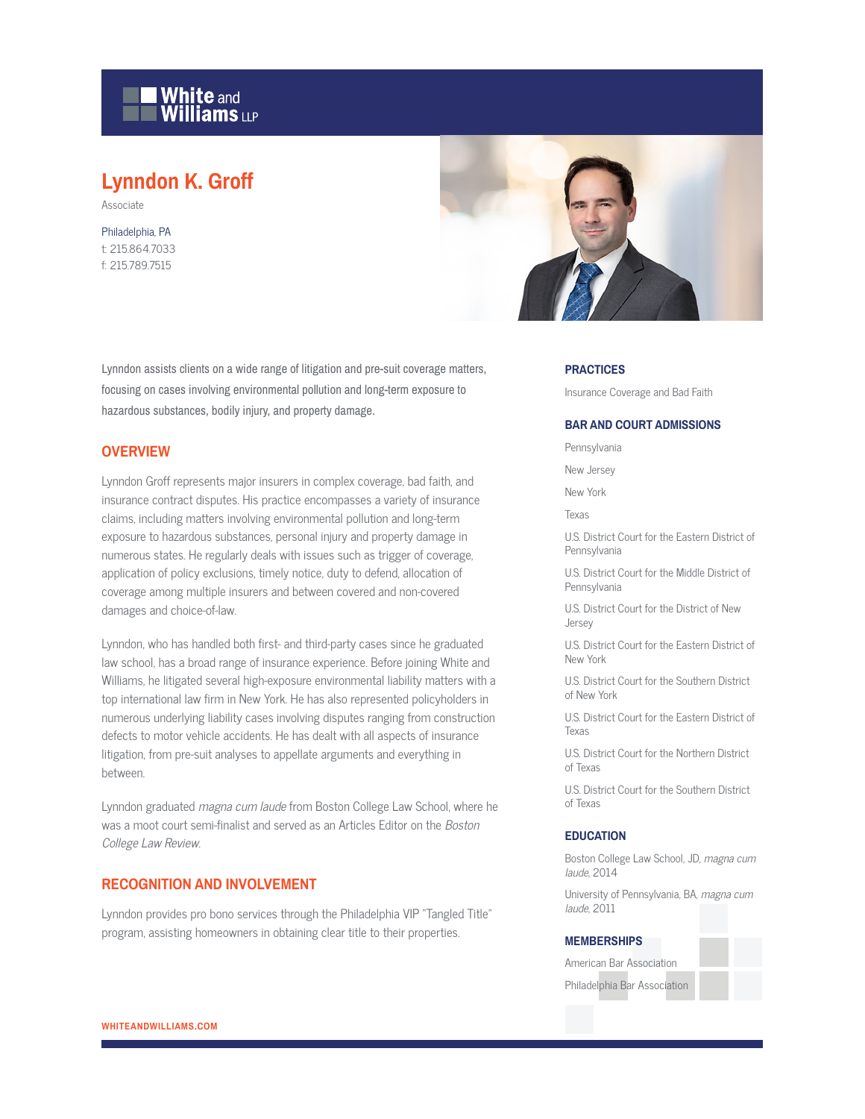

# **Lynndon K. Groff**

Associate

Philadelphia, PA t: 215.864.7033 f: 215.789.7515



Lynndon assists clients on a wide range of litigation and pre-suit coverage matters, focusing on cases involving environmental pollution and long-term exposure to hazardous substances, bodily injury, and property damage.

# **OVERVIEW**

Lynndon Groff represents major insurers in complex coverage, bad faith, and insurance contract disputes. His practice encompasses a variety of insurance claims, including matters involving environmental pollution and long-term exposure to hazardous substances, personal injury and property damage in numerous states. He regularly deals with issues such as trigger of coverage, application of policy exclusions, timely notice, duty to defend, allocation of coverage among multiple insurers and between covered and non-covered damages and choice-of-law.

Lynndon, who has handled both first- and third-party cases since he graduated law school, has a broad range of insurance experience. Before joining White and Williams, he litigated several high-exposure environmental liability matters with a top international law firm in New York. He has also represented policyholders in numerous underlying liability cases involving disputes ranging from construction defects to motor vehicle accidents. He has dealt with all aspects of insurance litigation, from pre-suit analyses to appellate arguments and everything in between.

Lynndon graduated magna cum laude from Boston College Law School, where he was a moot court semi-finalist and served as an Articles Editor on the Boston College Law Review.

# **RECOGNITION AND INVOLVEMENT**

Lynndon provides pro bono services through the Philadelphia VIP "Tangled Title" program, assisting homeowners in obtaining clear title to their properties.

#### **PRACTICES**

Insurance Coverage and Bad Faith

#### **BAR AND COURT ADMISSIONS**

Pennsylvania

New Jersey

New York

Texas

U.S. District Court for the Eastern District of Pennsylvania

U.S. District Court for the Middle District of **Pennsylvania** 

U.S. District Court for the District of New Jersey

U.S. District Court for the Eastern District of New York

U.S. District Court for the Southern District of New York

U.S. District Court for the Eastern District of Texas

U.S. District Court for the Northern District of Texas

U.S. District Court for the Southern District of Texas

#### **EDUCATION**

Boston College Law School, JD, magna cum laude, 2014

University of Pennsylvania, BA, magna cum laude, 2011

#### **MEMBERSHIPS**

| American Bar Association     |  |
|------------------------------|--|
| Philadelphia Bar Association |  |